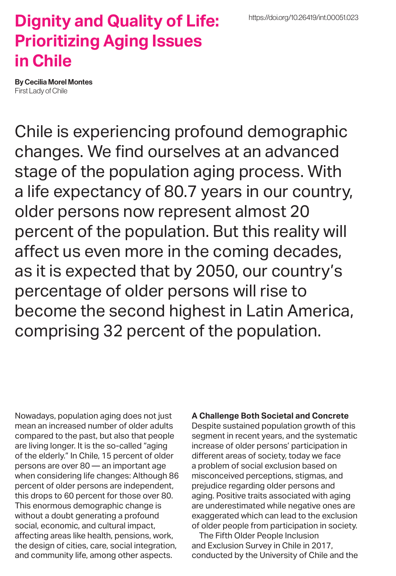## **Dignity and Quality of Life: Prioritizing Aging Issues in Chile**

By Cecilia Morel Montes First Lady of Chile

Chile is experiencing profound demographic changes. We find ourselves at an advanced stage of the population aging process. With a life expectancy of 80.7 years in our country, older persons now represent almost 20 percent of the population. But this reality will affect us even more in the coming decades, as it is expected that by 2050, our country's percentage of older persons will rise to become the second highest in Latin America, comprising 32 percent of the population.

Nowadays, population aging does not just mean an increased number of older adults compared to the past, but also that people are living longer. It is the so-called "aging of the elderly." In Chile, 15 percent of older persons are over 80 — an important age when considering life changes: Although 86 percent of older persons are independent, this drops to 60 percent for those over 80. This enormous demographic change is without a doubt generating a profound social, economic, and cultural impact, affecting areas like health, pensions, work, the design of cities, care, social integration, and community life, among other aspects.

## **A Challenge Both Societal and Concrete**

Despite sustained population growth of this segment in recent years, and the systematic increase of older persons' participation in different areas of society, today we face a problem of social exclusion based on misconceived perceptions, stigmas, and prejudice regarding older persons and aging. Positive traits associated with aging are underestimated while negative ones are exaggerated which can lead to the exclusion of older people from participation in society.

The Fifth Older People Inclusion and Exclusion Survey in Chile in 2017, conducted by the University of Chile and the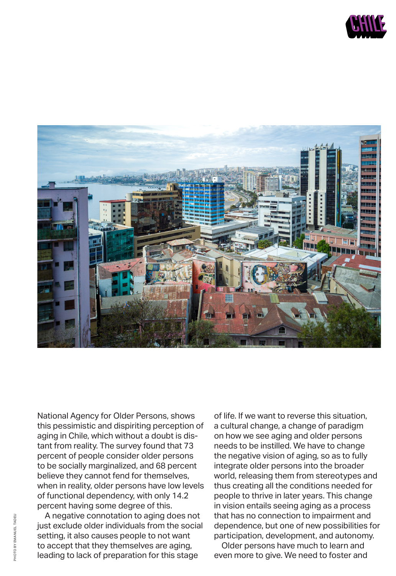



National Agency for Older Persons, shows this pessimistic and dispiriting perception of aging in Chile, which without a doubt is distant from reality. The survey found that 73 percent of people consider older persons to be socially marginalized, and 68 percent believe they cannot fend for themselves, when in reality, older persons have low levels of functional dependency, with only 14.2 percent having some degree of this.

A negative connotation to aging does not just exclude older individuals from the social setting, it also causes people to not want to accept that they themselves are aging, leading to lack of preparation for this stage

of life. If we want to reverse this situation, a cultural change, a change of paradigm on how we see aging and older persons needs to be instilled. We have to change the negative vision of aging, so as to fully integrate older persons into the broader world, releasing them from stereotypes and thus creating all the conditions needed for people to thrive in later years. This change in vision entails seeing aging as a process that has no connection to impairment and dependence, but one of new possibilities for participation, development, and autonomy.

Older persons have much to learn and even more to give. We need to foster and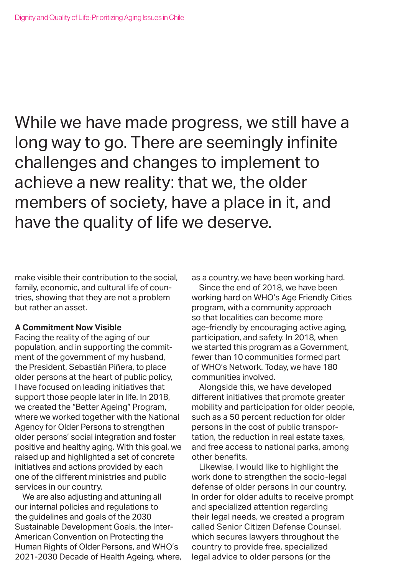While we have made progress, we still have a long way to go. There are seemingly infinite challenges and changes to implement to achieve a new reality: that we, the older members of society, have a place in it, and have the quality of life we deserve.

make visible their contribution to the social, family, economic, and cultural life of countries, showing that they are not a problem but rather an asset.

## **A Commitment Now Visible**

Facing the reality of the aging of our population, and in supporting the commitment of the government of my husband, the President, Sebastián Piñera, to place older persons at the heart of public policy, I have focused on leading initiatives that support those people later in life. In 2018, we created the "Better Ageing" Program, where we worked together with the National Agency for Older Persons to strengthen older persons' social integration and foster positive and healthy aging. With this goal, we raised up and highlighted a set of concrete initiatives and actions provided by each one of the different ministries and public services in our country.

We are also adjusting and attuning all our internal policies and regulations to the guidelines and goals of the 2030 Sustainable Development Goals, the Inter-American Convention on Protecting the Human Rights of Older Persons, and WHO's 2021-2030 Decade of Health Ageing, where, as a country, we have been working hard.

Since the end of 2018, we have been working hard on WHO's Age Friendly Cities program, with a community approach so that localities can become more age-friendly by encouraging active aging, participation, and safety. In 2018, when we started this program as a Government, fewer than 10 communities formed part of WHO's Network. Today, we have 180 communities involved.

Alongside this, we have developed different initiatives that promote greater mobility and participation for older people, such as a 50 percent reduction for older persons in the cost of public transportation, the reduction in real estate taxes, and free access to national parks, among other benefits.

Likewise, I would like to highlight the work done to strengthen the socio-legal defense of older persons in our country. In order for older adults to receive prompt and specialized attention regarding their legal needs, we created a program called Senior Citizen Defense Counsel, which secures lawyers throughout the country to provide free, specialized legal advice to older persons (or the